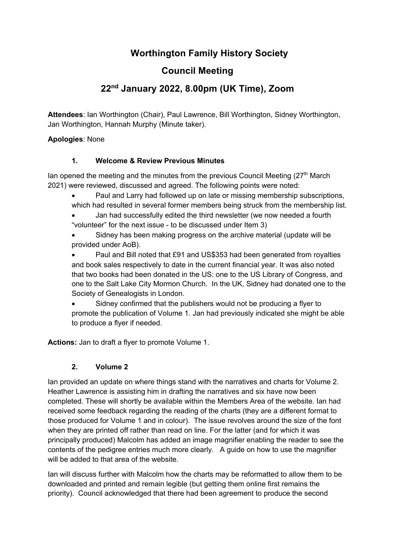# **Worthington Family History Society**

# **Council Meeting**

# **22nd January 2022, 8.00pm (UK Time), Zoom**

**Attendees**: Ian Worthington (Chair), Paul Lawrence, Bill Worthington, Sidney Worthington, Jan Worthington, Hannah Murphy (Minute taker).

**Apologies**: None

#### **1. Welcome & Review Previous Minutes**

Ian opened the meeting and the minutes from the previous Council Meeting  $(27<sup>th</sup>$  March 2021) were reviewed, discussed and agreed. The following points were noted:

- Paul and Larry had followed up on late or missing membership subscriptions, which had resulted in several former members being struck from the membership list.
- Jan had successfully edited the third newsletter (we now needed a fourth "volunteer" for the next issue - to be discussed under Item 3)
- Sidney has been making progress on the archive material (update will be provided under AoB).
- Paul and Bill noted that £91 and US\$353 had been generated from royalties and book sales respectively to date in the current financial year. It was also noted that two books had been donated in the US: one to the US Library of Congress, and one to the Salt Lake City Mormon Church. In the UK, Sidney had donated one to the Society of Genealogists in London.
- Sidney confirmed that the publishers would not be producing a flyer to promote the publication of Volume 1. Jan had previously indicated she might be able to produce a flyer if needed.

**Actions:** Jan to draft a flyer to promote Volume 1.

#### **2. Volume 2**

Ian provided an update on where things stand with the narratives and charts for Volume 2. Heather Lawrence is assisting him in drafting the narratives and six have now been completed. These will shortly be available within the Members Area of the website. Ian had received some feedback regarding the reading of the charts (they are a different format to those produced for Volume 1 and in colour). The issue revolves around the size of the font when they are printed off rather than read on line. For the latter (and for which it was principally produced) Malcolm has added an image magnifier enabling the reader to see the contents of the pedigree entries much more clearly. A guide on how to use the magnifier will be added to that area of the website.

Ian will discuss further with Malcolm how the charts may be reformatted to allow them to be downloaded and printed and remain legible (but getting them online first remains the priority). Council acknowledged that there had been agreement to produce the second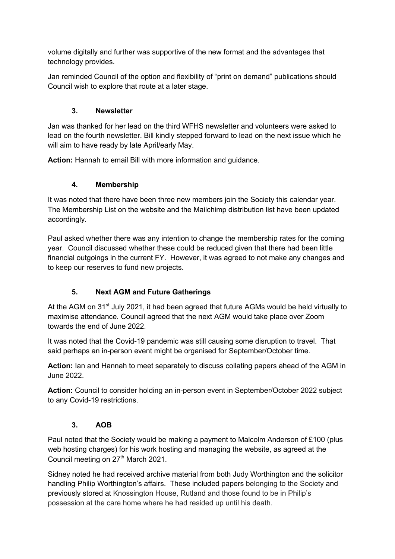volume digitally and further was supportive of the new format and the advantages that technology provides.

Jan reminded Council of the option and flexibility of "print on demand" publications should Council wish to explore that route at a later stage.

#### **3. Newsletter**

Jan was thanked for her lead on the third WFHS newsletter and volunteers were asked to lead on the fourth newsletter. Bill kindly stepped forward to lead on the next issue which he will aim to have ready by late April/early May.

**Action:** Hannah to email Bill with more information and guidance.

## **4. Membership**

It was noted that there have been three new members join the Society this calendar year. The Membership List on the website and the Mailchimp distribution list have been updated accordingly.

Paul asked whether there was any intention to change the membership rates for the coming year. Council discussed whether these could be reduced given that there had been little financial outgoings in the current FY. However, it was agreed to not make any changes and to keep our reserves to fund new projects.

## **5. Next AGM and Future Gatherings**

At the AGM on  $31<sup>st</sup>$  July 2021, it had been agreed that future AGMs would be held virtually to maximise attendance. Council agreed that the next AGM would take place over Zoom towards the end of June 2022.

It was noted that the Covid-19 pandemic was still causing some disruption to travel. That said perhaps an in-person event might be organised for September/October time.

**Action:** Ian and Hannah to meet separately to discuss collating papers ahead of the AGM in June 2022.

**Action:** Council to consider holding an in-person event in September/October 2022 subject to any Covid-19 restrictions.

## **3. AOB**

Paul noted that the Society would be making a payment to Malcolm Anderson of £100 (plus web hosting charges) for his work hosting and managing the website, as agreed at the Council meeting on 27<sup>th</sup> March 2021.

Sidney noted he had received archive material from both Judy Worthington and the solicitor handling Philip Worthington's affairs. These included papers belonging to the Society and previously stored at Knossington House, Rutland and those found to be in Philip's possession at the care home where he had resided up until his death.